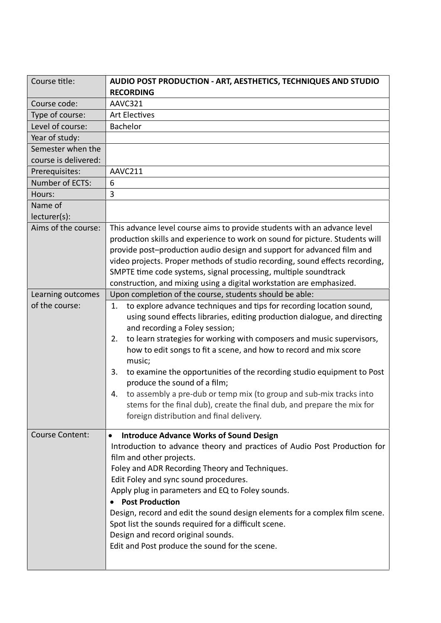| Course title:                       | AUDIO POST PRODUCTION - ART, AESTHETICS, TECHNIQUES AND STUDIO                                                                                                                                                                                                                                                                                                                                                                                                                                                                                                                                                                                                              |
|-------------------------------------|-----------------------------------------------------------------------------------------------------------------------------------------------------------------------------------------------------------------------------------------------------------------------------------------------------------------------------------------------------------------------------------------------------------------------------------------------------------------------------------------------------------------------------------------------------------------------------------------------------------------------------------------------------------------------------|
| Course code:                        | <b>RECORDING</b><br>AAVC321                                                                                                                                                                                                                                                                                                                                                                                                                                                                                                                                                                                                                                                 |
|                                     | <b>Art Electives</b>                                                                                                                                                                                                                                                                                                                                                                                                                                                                                                                                                                                                                                                        |
| Type of course:<br>Level of course: | Bachelor                                                                                                                                                                                                                                                                                                                                                                                                                                                                                                                                                                                                                                                                    |
|                                     |                                                                                                                                                                                                                                                                                                                                                                                                                                                                                                                                                                                                                                                                             |
| Year of study:<br>Semester when the |                                                                                                                                                                                                                                                                                                                                                                                                                                                                                                                                                                                                                                                                             |
| course is delivered:                |                                                                                                                                                                                                                                                                                                                                                                                                                                                                                                                                                                                                                                                                             |
| Prerequisites:                      | AAVC211                                                                                                                                                                                                                                                                                                                                                                                                                                                                                                                                                                                                                                                                     |
| Number of ECTS:                     | 6                                                                                                                                                                                                                                                                                                                                                                                                                                                                                                                                                                                                                                                                           |
| Hours:                              | 3                                                                                                                                                                                                                                                                                                                                                                                                                                                                                                                                                                                                                                                                           |
| Name of                             |                                                                                                                                                                                                                                                                                                                                                                                                                                                                                                                                                                                                                                                                             |
| lecturer(s):                        |                                                                                                                                                                                                                                                                                                                                                                                                                                                                                                                                                                                                                                                                             |
| Aims of the course:                 | This advance level course aims to provide students with an advance level                                                                                                                                                                                                                                                                                                                                                                                                                                                                                                                                                                                                    |
|                                     | production skills and experience to work on sound for picture. Students will                                                                                                                                                                                                                                                                                                                                                                                                                                                                                                                                                                                                |
|                                     | provide post-production audio design and support for advanced film and                                                                                                                                                                                                                                                                                                                                                                                                                                                                                                                                                                                                      |
|                                     | video projects. Proper methods of studio recording, sound effects recording,                                                                                                                                                                                                                                                                                                                                                                                                                                                                                                                                                                                                |
|                                     | SMPTE time code systems, signal processing, multiple soundtrack                                                                                                                                                                                                                                                                                                                                                                                                                                                                                                                                                                                                             |
|                                     | construction, and mixing using a digital workstation are emphasized.                                                                                                                                                                                                                                                                                                                                                                                                                                                                                                                                                                                                        |
| Learning outcomes                   | Upon completion of the course, students should be able:                                                                                                                                                                                                                                                                                                                                                                                                                                                                                                                                                                                                                     |
| of the course:                      | to explore advance techniques and tips for recording location sound,<br>1.<br>using sound effects libraries, editing production dialogue, and directing<br>and recording a Foley session;<br>to learn strategies for working with composers and music supervisors,<br>2.<br>how to edit songs to fit a scene, and how to record and mix score<br>music;<br>3.<br>to examine the opportunities of the recording studio equipment to Post<br>produce the sound of a film;<br>to assembly a pre-dub or temp mix (to group and sub-mix tracks into<br>4.<br>stems for the final dub), create the final dub, and prepare the mix for<br>foreign distribution and final delivery. |
| <b>Course Content:</b>              | <b>Introduce Advance Works of Sound Design</b><br>$\bullet$<br>Introduction to advance theory and practices of Audio Post Production for<br>film and other projects.<br>Foley and ADR Recording Theory and Techniques.<br>Edit Foley and sync sound procedures.<br>Apply plug in parameters and EQ to Foley sounds.<br><b>Post Production</b><br>Design, record and edit the sound design elements for a complex film scene.<br>Spot list the sounds required for a difficult scene.<br>Design and record original sounds.<br>Edit and Post produce the sound for the scene.                                                                                                |